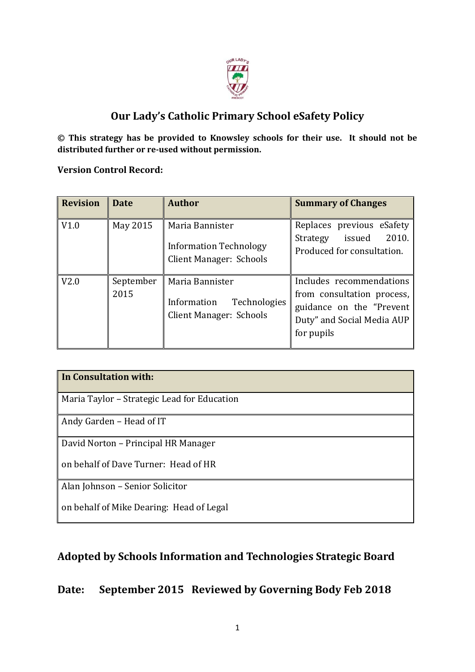

# **Our Lady's Catholic Primary School eSafety Policy**

**© This strategy has be provided to Knowsley schools for their use. It should not be distributed further or re-used without permission.** 

**Version Control Record:**

| <b>Revision</b> | <b>Date</b>       | <b>Author</b>                                                                      | <b>Summary of Changes</b>                                                                                                       |
|-----------------|-------------------|------------------------------------------------------------------------------------|---------------------------------------------------------------------------------------------------------------------------------|
| V1.0            | May 2015          | Maria Bannister<br><b>Information Technology</b><br><b>Client Manager: Schools</b> | Replaces previous eSafety<br>2010.<br>issued<br>Strategy<br>Produced for consultation.                                          |
| V2.0            | September<br>2015 | Maria Bannister<br>Technologies<br>Information<br><b>Client Manager: Schools</b>   | Includes recommendations<br>from consultation process,<br>guidance on the "Prevent"<br>Duty" and Social Media AUP<br>for pupils |

| In Consultation with:                       |  |  |  |  |
|---------------------------------------------|--|--|--|--|
|                                             |  |  |  |  |
| Maria Taylor - Strategic Lead for Education |  |  |  |  |
| Andy Garden - Head of IT                    |  |  |  |  |
| David Norton – Principal HR Manager         |  |  |  |  |
| on behalf of Dave Turner: Head of HR        |  |  |  |  |
| Alan Johnson - Senior Solicitor             |  |  |  |  |
| on behalf of Mike Dearing: Head of Legal    |  |  |  |  |

# **Adopted by Schools Information and Technologies Strategic Board**

# **Date: September 2015 Reviewed by Governing Body Feb 2018**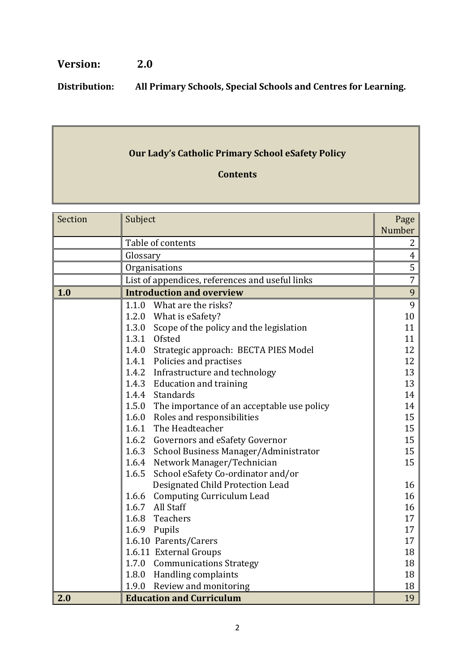# **Version: 2.0**

**Distribution: All Primary Schools, Special Schools and Centres for Learning.**

# **Our Lady's Catholic Primary School eSafety Policy**

## **Contents**

| Section | Subject                                             |    |
|---------|-----------------------------------------------------|----|
|         |                                                     |    |
|         | Table of contents                                   |    |
|         | Glossary                                            |    |
|         | Organisations                                       |    |
|         | List of appendices, references and useful links     |    |
| 1.0     | <b>Introduction and overview</b>                    |    |
|         | 1.1.0<br>What are the risks?                        | 9  |
|         | 1.2.0 What is eSafety?                              | 10 |
|         | 1.3.0<br>Scope of the policy and the legislation    | 11 |
|         | 1.3.1 Ofsted                                        | 11 |
|         | 1.4.0<br>Strategic approach: BECTA PIES Model       | 12 |
|         | 1.4.1 Policies and practises                        | 12 |
|         | 1.4.2 Infrastructure and technology                 | 13 |
|         | 1.4.3 Education and training                        | 13 |
|         | 1.4.4 Standards                                     | 14 |
|         | 1.5.0<br>The importance of an acceptable use policy | 14 |
|         | Roles and responsibilities<br>1.6.0                 | 15 |
|         | 1.6.1 The Headteacher                               | 15 |
|         | 1.6.2 Governors and eSafety Governor                | 15 |
|         | 1.6.3 School Business Manager/Administrator         | 15 |
|         | 1.6.4 Network Manager/Technician                    | 15 |
|         | School eSafety Co-ordinator and/or<br>1.6.5         |    |
|         | Designated Child Protection Lead                    | 16 |
|         | 1.6.6 Computing Curriculum Lead                     | 16 |
|         | 1.6.7 All Staff                                     | 16 |
|         | 1.6.8 Teachers                                      | 17 |
|         | 1.6.9 Pupils                                        | 17 |
|         | 1.6.10 Parents/Carers                               | 17 |
|         | 1.6.11 External Groups                              | 18 |
|         | 1.7.0<br><b>Communications Strategy</b>             | 18 |
|         | 1.8.0<br><b>Handling complaints</b>                 | 18 |
|         | 1.9.0<br>Review and monitoring                      | 18 |
| 2.0     | <b>Education and Curriculum</b>                     | 19 |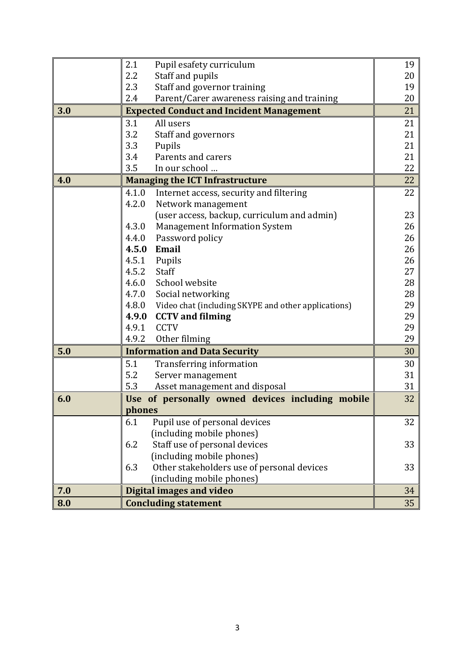|     | 2.1<br>Pupil esafety curriculum                           | 19       |  |
|-----|-----------------------------------------------------------|----------|--|
|     | 2.2<br>Staff and pupils                                   |          |  |
|     | 2.3<br>Staff and governor training                        |          |  |
|     | 2.4<br>Parent/Carer awareness raising and training        | 19<br>20 |  |
| 3.0 | <b>Expected Conduct and Incident Management</b>           |          |  |
|     | 3.1<br>All users                                          | 21       |  |
|     | 3.2<br>Staff and governors                                | 21       |  |
|     | 3.3<br>Pupils                                             | 21       |  |
|     | Parents and carers<br>3.4                                 | 21       |  |
|     | 3.5<br>In our school                                      | 22       |  |
| 4.0 | <b>Managing the ICT Infrastructure</b>                    |          |  |
|     | 4.1.0<br>Internet access, security and filtering          | 22       |  |
|     | 4.2.0<br>Network management                               |          |  |
|     | (user access, backup, curriculum and admin)               | 23       |  |
|     | <b>Management Information System</b><br>4.3.0             | 26       |  |
|     | 4.4.0<br>Password policy                                  | 26       |  |
|     | 4.5.0<br>Email                                            | 26       |  |
|     | 4.5.1<br>Pupils                                           | 26       |  |
|     | 4.5.2<br>Staff                                            | 27       |  |
|     | School website<br>4.6.0                                   | 28       |  |
|     | 4.7.0 Social networking                                   | 28       |  |
|     | 4.8.0 Video chat (including SKYPE and other applications) | 29       |  |
|     | <b>CCTV</b> and filming<br>4.9.0                          | 29       |  |
|     | 4.9.1<br><b>CCTV</b>                                      | 29       |  |
|     | 4.9.2<br>Other filming                                    | 29       |  |
| 5.0 | <b>Information and Data Security</b>                      | 30       |  |
|     | 5.1<br><b>Transferring information</b>                    | 30       |  |
|     | 5.2<br>Server management                                  | 31       |  |
|     | 5.3<br>Asset management and disposal                      | 31       |  |
| 6.0 | Use of personally owned devices including mobile          | 32       |  |
|     | phones                                                    |          |  |
|     | 6.1<br>Pupil use of personal devices                      | 32       |  |
|     | (including mobile phones)                                 |          |  |
|     | Staff use of personal devices<br>6.2                      | 33       |  |
|     | (including mobile phones)                                 |          |  |
|     | 6.3<br>Other stakeholders use of personal devices         | 33       |  |
|     | (including mobile phones)                                 |          |  |
| 7.0 | <b>Digital images and video</b>                           | 34       |  |
| 8.0 | <b>Concluding statement</b>                               | 35       |  |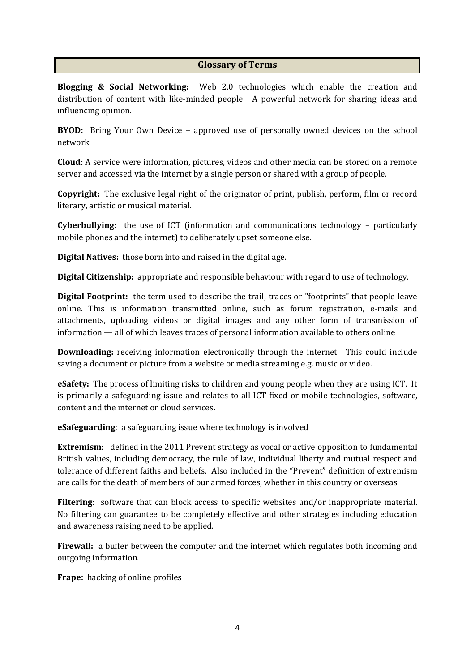#### **Glossary of Terms**

**Blogging & Social Networking:** Web 2.0 technologies which enable the creation and distribution of content with like-minded people. A powerful network for sharing ideas and influencing opinion.

**BYOD:** Bring Your Own Device – approved use of personally owned devices on the school network.

**Cloud:** A service were information, pictures, videos and other media can be stored on a remote server and accessed via the internet by a single person or shared with a group of people.

**Copyright:** The exclusive legal right of the originator of print, publish, perform, film or record literary, artistic or musical material.

**Cyberbullying:** the use of ICT (information and communications technology – particularly mobile phones and the internet) to deliberately upset someone else.

**Digital Natives:** those born into and raised in the digital age.

**Digital Citizenship:** appropriate and responsible behaviour with regard to use of technology.

**Digital Footprint:** the term used to describe the trail, traces or "footprints" that people leave online. This is information transmitted online, such as forum registration, e-mails and attachments, uploading videos or digital images and any other form of transmission of information — all of which leaves traces of personal information available to others online

**Downloading:** receiving information electronically through the internet. This could include saving a document or picture from a website or media streaming e.g. music or video.

**eSafety:** The process of limiting risks to children and young people when they are using ICT. It is primarily a safeguarding issue and relates to all ICT fixed or mobile technologies, software, content and the internet or cloud services.

**eSafeguarding**: a safeguarding issue where technology is involved

**Extremism:** defined in the 2011 Prevent strategy as vocal or active opposition to fundamental British values, including democracy, the rule of law, individual liberty and mutual respect and tolerance of different faiths and beliefs. Also included in the "Prevent" definition of extremism are calls for the death of members of our armed forces, whether in this country or overseas.

**Filtering:** software that can block access to specific websites and/or inappropriate material. No filtering can guarantee to be completely effective and other strategies including education and awareness raising need to be applied.

**Firewall:** a buffer between the computer and the internet which regulates both incoming and outgoing information.

**Frape:** hacking of online profiles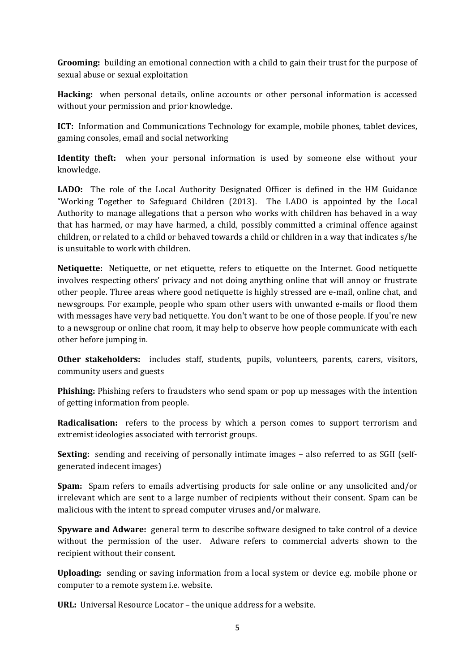**Grooming:** building an emotional connection with a child to gain their trust for the purpose of sexual abuse or sexual exploitation

**Hacking:** when personal details, online accounts or other personal information is accessed without your permission and prior knowledge.

**ICT:** Information and Communications Technology for example, mobile phones, tablet devices, gaming consoles, email and social networking

**Identity theft:** when your personal information is used by someone else without your knowledge.

**LADO:** The role of the Local Authority Designated Officer is defined in the HM Guidance "Working Together to Safeguard Children (2013). The LADO is appointed by the Local Authority to manage allegations that a person who works with children has behaved in a way that has harmed, or may have harmed, a child, possibly committed a criminal offence against children, or related to a child or behaved towards a child or children in a way that indicates s/he is unsuitable to work with children.

**Netiquette:** Netiquette, or net etiquette, refers to etiquette on the Internet. Good netiquette involves respecting others' privacy and not doing anything online that will annoy or frustrate other people. Three areas where good netiquette is highly stressed are e-mail, online chat, and newsgroups. For example, people who spam other users with unwanted e-mails or flood them with messages have very bad netiquette. You don't want to be one of those people. If you're new to a newsgroup or online chat room, it may help to observe how people communicate with each other before jumping in.

**Other stakeholders:** includes staff, students, pupils, volunteers, parents, carers, visitors, community users and guests

**Phishing:** Phishing refers to fraudsters who send spam or pop up messages with the intention of getting information from people.

**Radicalisation:** refers to the process by which a person comes to support terrorism and extremist ideologies associated with terrorist groups.

**Sexting:** sending and receiving of personally intimate images – also referred to as SGII (selfgenerated indecent images)

**Spam:** Spam refers to emails advertising products for sale online or any unsolicited and/or irrelevant which are sent to a large number of recipients without their consent. Spam can be malicious with the intent to spread computer viruses and/or malware.

**Spyware and Adware:** general term to describe software designed to take control of a device without the permission of the user. Adware refers to commercial adverts shown to the recipient without their consent.

**Uploading:** sending or saving information from a local system or device e.g. mobile phone or computer to a remote system i.e. website.

**URL:** Universal Resource Locator – the unique address for a website.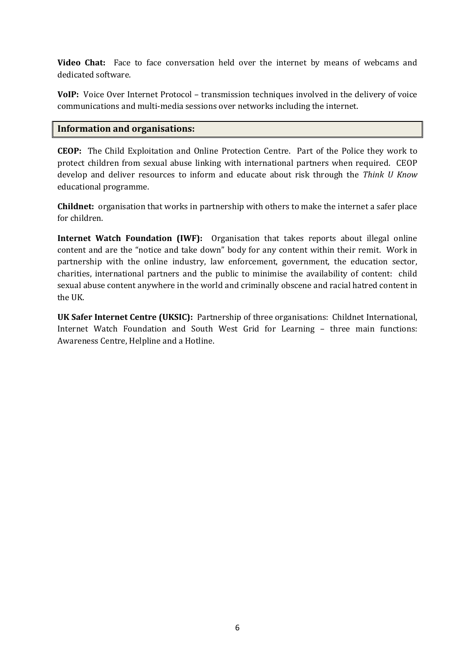**Video Chat:** Face to face conversation held over the internet by means of webcams and dedicated software.

**VoIP:** Voice Over Internet Protocol – transmission techniques involved in the delivery of voice communications and multi-media sessions over networks including the internet.

### **Information and organisations:**

**CEOP:** The Child Exploitation and Online Protection Centre. Part of the Police they work to protect children from sexual abuse linking with international partners when required. CEOP develop and deliver resources to inform and educate about risk through the *Think U Know* educational programme.

**Childnet:** organisation that works in partnership with others to make the internet a safer place for children.

**Internet Watch Foundation (IWF):** Organisation that takes reports about illegal online content and are the "notice and take down" body for any content within their remit. Work in partnership with the online industry, law enforcement, government, the education sector, charities, international partners and the public to minimise the availability of content: child sexual abuse content anywhere in the world and criminally obscene and racial hatred content in the UK.

**UK Safer Internet Centre (UKSIC):** Partnership of three organisations: Childnet International, Internet Watch Foundation and South West Grid for Learning – three main functions: Awareness Centre, Helpline and a Hotline.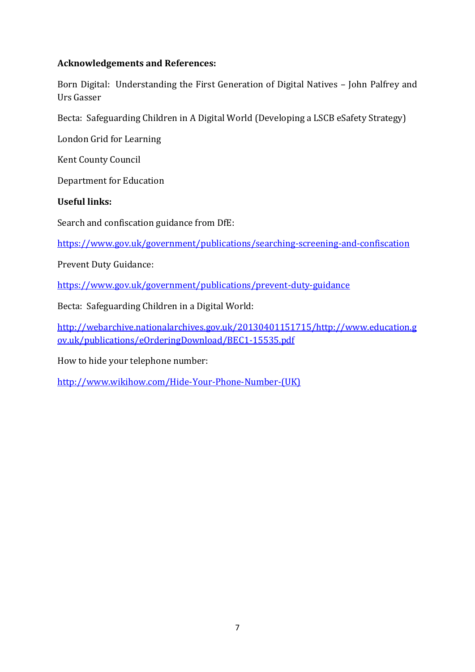### **Acknowledgements and References:**

Born Digital: Understanding the First Generation of Digital Natives – John Palfrey and Urs Gasser

Becta: Safeguarding Children in A Digital World (Developing a LSCB eSafety Strategy)

London Grid for Learning

Kent County Council

Department for Education

**Useful links:**

Search and confiscation guidance from DfE:

<https://www.gov.uk/government/publications/searching-screening-and-confiscation>

Prevent Duty Guidance:

<https://www.gov.uk/government/publications/prevent-duty-guidance>

Becta: Safeguarding Children in a Digital World:

[http://webarchive.nationalarchives.gov.uk/20130401151715/http://www.education.g](http://webarchive.nationalarchives.gov.uk/20130401151715/http:/www.education.gov.uk/publications/eOrderingDownload/BEC1-15535.pdf) [ov.uk/publications/eOrderingDownload/BEC1-15535.pdf](http://webarchive.nationalarchives.gov.uk/20130401151715/http:/www.education.gov.uk/publications/eOrderingDownload/BEC1-15535.pdf)

How to hide your telephone number:

[http://www.wikihow.com/Hide-Your-Phone-Number-\(UK\)](http://www.wikihow.com/Hide-Your-Phone-Number-(UK))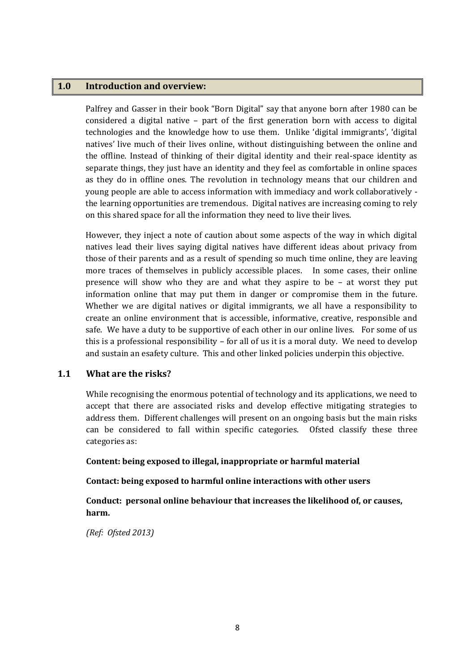#### **1.0 Introduction and overview:**

Palfrey and Gasser in their book "Born Digital" say that anyone born after 1980 can be considered a digital native – part of the first generation born with access to digital technologies and the knowledge how to use them. Unlike 'digital immigrants', 'digital natives' live much of their lives online, without distinguishing between the online and the offline. Instead of thinking of their digital identity and their real-space identity as separate things, they just have an identity and they feel as comfortable in online spaces as they do in offline ones. The revolution in technology means that our children and young people are able to access information with immediacy and work collaboratively the learning opportunities are tremendous. Digital natives are increasing coming to rely on this shared space for all the information they need to live their lives.

However, they inject a note of caution about some aspects of the way in which digital natives lead their lives saying digital natives have different ideas about privacy from those of their parents and as a result of spending so much time online, they are leaving more traces of themselves in publicly accessible places. In some cases, their online presence will show who they are and what they aspire to be – at worst they put information online that may put them in danger or compromise them in the future. Whether we are digital natives or digital immigrants, we all have a responsibility to create an online environment that is accessible, informative, creative, responsible and safe. We have a duty to be supportive of each other in our online lives. For some of us this is a professional responsibility – for all of us it is a moral duty. We need to develop and sustain an esafety culture. This and other linked policies underpin this objective.

#### **1.1 What are the risks?**

While recognising the enormous potential of technology and its applications, we need to accept that there are associated risks and develop effective mitigating strategies to address them. Different challenges will present on an ongoing basis but the main risks can be considered to fall within specific categories. Ofsted classify these three categories as:

#### **Content: being exposed to illegal, inappropriate or harmful material**

#### **Contact: being exposed to harmful online interactions with other users**

**Conduct: personal online behaviour that increases the likelihood of, or causes, harm.**

*(Ref: Ofsted 2013)*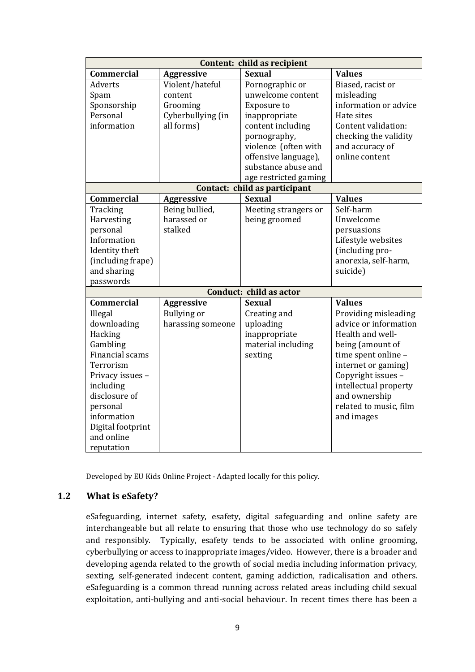| Content: child as recipient |                    |                               |                        |  |  |  |  |  |
|-----------------------------|--------------------|-------------------------------|------------------------|--|--|--|--|--|
| <b>Commercial</b>           | Aggressive         | <b>Sexual</b>                 | <b>Values</b>          |  |  |  |  |  |
| <b>Adverts</b>              | Violent/hateful    | Pornographic or               | Biased, racist or      |  |  |  |  |  |
| Spam                        | content            | unwelcome content             | misleading             |  |  |  |  |  |
| Sponsorship                 | Grooming           | <b>Exposure to</b>            | information or advice  |  |  |  |  |  |
| Personal                    | Cyberbullying (in  | inappropriate                 | Hate sites             |  |  |  |  |  |
| information                 | all forms)         | content including             | Content validation:    |  |  |  |  |  |
|                             |                    | pornography,                  | checking the validity  |  |  |  |  |  |
|                             |                    | violence (often with          | and accuracy of        |  |  |  |  |  |
|                             |                    | offensive language),          | online content         |  |  |  |  |  |
|                             |                    | substance abuse and           |                        |  |  |  |  |  |
|                             |                    | age restricted gaming         |                        |  |  |  |  |  |
|                             |                    | Contact: child as participant |                        |  |  |  |  |  |
| <b>Commercial</b>           | <b>Aggressive</b>  | <b>Sexual</b>                 | <b>Values</b>          |  |  |  |  |  |
| Tracking                    | Being bullied,     | Meeting strangers or          | Self-harm              |  |  |  |  |  |
| Harvesting                  | harassed or        | being groomed                 | Unwelcome              |  |  |  |  |  |
| personal                    | stalked            |                               | persuasions            |  |  |  |  |  |
| Information                 |                    |                               | Lifestyle websites     |  |  |  |  |  |
| Identity theft              |                    |                               | (including pro-        |  |  |  |  |  |
| (including frape)           |                    |                               | anorexia, self-harm,   |  |  |  |  |  |
| and sharing                 |                    |                               | suicide)               |  |  |  |  |  |
| passwords                   |                    |                               |                        |  |  |  |  |  |
|                             |                    | Conduct: child as actor       |                        |  |  |  |  |  |
| <b>Commercial</b>           | <b>Aggressive</b>  | <b>Sexual</b>                 | <b>Values</b>          |  |  |  |  |  |
| Illegal                     | <b>Bullying or</b> | Creating and                  | Providing misleading   |  |  |  |  |  |
| downloading                 | harassing someone  | uploading                     | advice or information  |  |  |  |  |  |
| Hacking                     |                    | inappropriate                 | Health and well-       |  |  |  |  |  |
| Gambling                    |                    | material including            | being (amount of       |  |  |  |  |  |
| <b>Financial scams</b>      |                    | sexting                       | time spent online -    |  |  |  |  |  |
| Terrorism                   |                    |                               | internet or gaming)    |  |  |  |  |  |
| Privacy issues -            |                    |                               | Copyright issues -     |  |  |  |  |  |
| including                   |                    |                               | intellectual property  |  |  |  |  |  |
| disclosure of               |                    |                               | and ownership          |  |  |  |  |  |
| personal                    |                    |                               | related to music, film |  |  |  |  |  |
| information                 |                    |                               | and images             |  |  |  |  |  |
| Digital footprint           |                    |                               |                        |  |  |  |  |  |
| and online                  |                    |                               |                        |  |  |  |  |  |
| reputation                  |                    |                               |                        |  |  |  |  |  |

Developed by EU Kids Online Project - Adapted locally for this policy.

### **1.2 What is eSafety?**

eSafeguarding, internet safety, esafety, digital safeguarding and online safety are interchangeable but all relate to ensuring that those who use technology do so safely and responsibly. Typically, esafety tends to be associated with online grooming, cyberbullying or access to inappropriate images/video. However, there is a broader and developing agenda related to the growth of social media including information privacy, sexting, self-generated indecent content, gaming addiction, radicalisation and others. eSafeguarding is a common thread running across related areas including child sexual exploitation, anti-bullying and anti-social behaviour. In recent times there has been a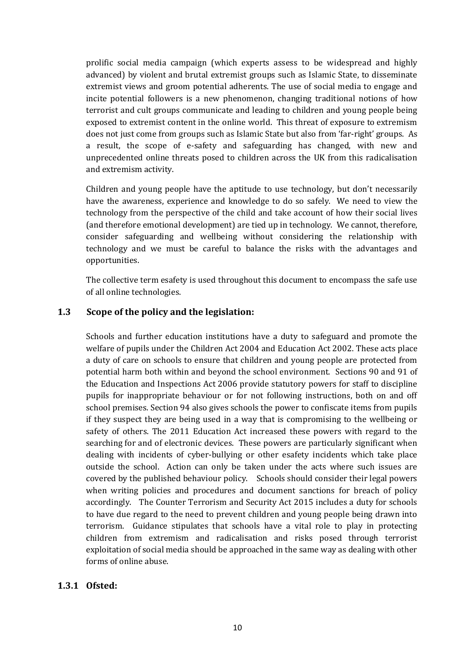prolific social media campaign (which experts assess to be widespread and highly advanced) by violent and brutal extremist groups such as Islamic State, to disseminate extremist views and groom potential adherents. The use of social media to engage and incite potential followers is a new phenomenon, changing traditional notions of how terrorist and cult groups communicate and leading to children and young people being exposed to extremist content in the online world. This threat of exposure to extremism does not just come from groups such as Islamic State but also from 'far-right' groups. As a result, the scope of e-safety and safeguarding has changed, with new and unprecedented online threats posed to children across the UK from this radicalisation and extremism activity.

Children and young people have the aptitude to use technology, but don't necessarily have the awareness, experience and knowledge to do so safely. We need to view the technology from the perspective of the child and take account of how their social lives (and therefore emotional development) are tied up in technology. We cannot, therefore, consider safeguarding and wellbeing without considering the relationship with technology and we must be careful to balance the risks with the advantages and opportunities.

The collective term esafety is used throughout this document to encompass the safe use of all online technologies.

### **1.3 Scope of the policy and the legislation:**

Schools and further education institutions have a duty to safeguard and promote the welfare of pupils under the Children Act 2004 and Education Act 2002. These acts place a duty of care on schools to ensure that children and young people are protected from potential harm both within and beyond the school environment. Sections 90 and 91 of the Education and Inspections Act 2006 provide statutory powers for staff to discipline pupils for inappropriate behaviour or for not following instructions, both on and off school premises. Section 94 also gives schools the power to confiscate items from pupils if they suspect they are being used in a way that is compromising to the wellbeing or safety of others. The 2011 Education Act increased these powers with regard to the searching for and of electronic devices. These powers are particularly significant when dealing with incidents of cyber-bullying or other esafety incidents which take place outside the school. Action can only be taken under the acts where such issues are covered by the published behaviour policy. Schools should consider their legal powers when writing policies and procedures and document sanctions for breach of policy accordingly. The Counter Terrorism and Security Act 2015 includes a duty for schools to have due regard to the need to prevent children and young people being drawn into terrorism. Guidance stipulates that schools have a vital role to play in protecting children from extremism and radicalisation and risks posed through terrorist exploitation of social media should be approached in the same way as dealing with other forms of online abuse.

#### **1.3.1 Ofsted:**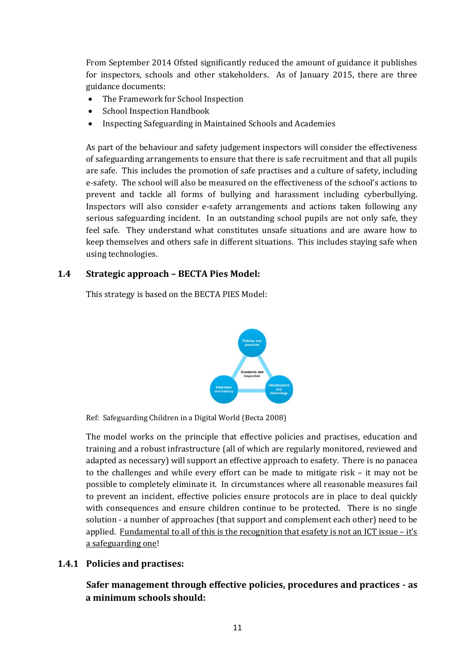From September 2014 Ofsted significantly reduced the amount of guidance it publishes for inspectors, schools and other stakeholders. As of January 2015, there are three guidance documents:

- The Framework for School Inspection
- School Inspection Handbook
- Inspecting Safeguarding in Maintained Schools and Academies

As part of the behaviour and safety judgement inspectors will consider the effectiveness of safeguarding arrangements to ensure that there is safe recruitment and that all pupils are safe. This includes the promotion of safe practises and a culture of safety, including e-safety. The school will also be measured on the effectiveness of the school's actions to prevent and tackle all forms of bullying and harassment including cyberbullying. Inspectors will also consider e-safety arrangements and actions taken following any serious safeguarding incident. In an outstanding school pupils are not only safe, they feel safe. They understand what constitutes unsafe situations and are aware how to keep themselves and others safe in different situations. This includes staying safe when using technologies.

### **1.4 Strategic approach – BECTA Pies Model:**

This strategy is based on the BECTA PIES Model:



Ref: Safeguarding Children in a Digital World (Becta 2008)

The model works on the principle that effective policies and practises, education and training and a robust infrastructure (all of which are regularly monitored, reviewed and adapted as necessary) will support an effective approach to esafety. There is no panacea to the challenges and while every effort can be made to mitigate risk – it may not be possible to completely eliminate it. In circumstances where all reasonable measures fail to prevent an incident, effective policies ensure protocols are in place to deal quickly with consequences and ensure children continue to be protected. There is no single solution - a number of approaches (that support and complement each other) need to be applied. Fundamental to all of this is the recognition that esafety is not an ICT issue – it's a safeguarding one!

#### **1.4.1 Policies and practises:**

**Safer management through effective policies, procedures and practices - as a minimum schools should:**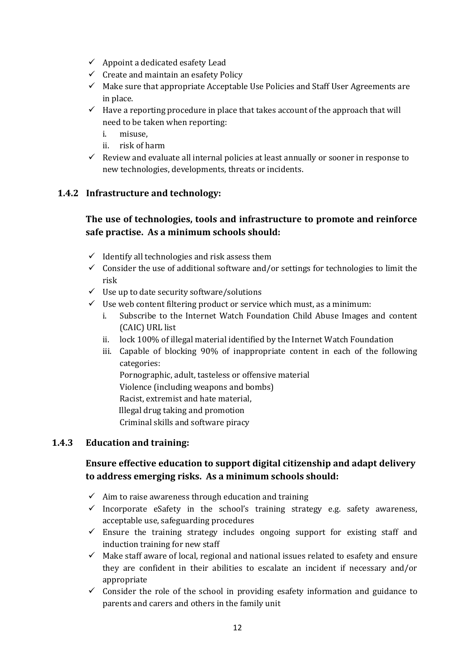- $\checkmark$  Appoint a dedicated esafety Lead
- $\checkmark$  Create and maintain an esafety Policy
- $\checkmark$  Make sure that appropriate Acceptable Use Policies and Staff User Agreements are in place.
- $\checkmark$  Have a reporting procedure in place that takes account of the approach that will need to be taken when reporting:
	- i. misuse,
	- ii. risk of harm
- $\checkmark$  Review and evaluate all internal policies at least annually or sooner in response to new technologies, developments, threats or incidents.

### **1.4.2 Infrastructure and technology:**

### **The use of technologies, tools and infrastructure to promote and reinforce safe practise. As a minimum schools should:**

- $\checkmark$  Identify all technologies and risk assess them
- $\checkmark$  Consider the use of additional software and/or settings for technologies to limit the risk
- $\checkmark$  Use up to date security software/solutions
- $\checkmark$  Use web content filtering product or service which must, as a minimum:
	- i. Subscribe to the Internet Watch Foundation Child Abuse Images and content (CAIC) URL list
	- ii. lock 100% of illegal material identified by the Internet Watch Foundation
	- iii. Capable of blocking 90% of inappropriate content in each of the following categories:

Pornographic, adult, tasteless or offensive material

- Violence (including weapons and bombs)
- Racist, extremist and hate material,
- Illegal drug taking and promotion
- Criminal skills and software piracy

#### **1.4.3 Education and training:**

### **Ensure effective education to support digital citizenship and adapt delivery to address emerging risks. As a minimum schools should:**

- $\checkmark$  Aim to raise awareness through education and training
- $\checkmark$  Incorporate eSafety in the school's training strategy e.g. safety awareness, acceptable use, safeguarding procedures
- $\checkmark$  Ensure the training strategy includes ongoing support for existing staff and induction training for new staff
- $\checkmark$  Make staff aware of local, regional and national issues related to esafety and ensure they are confident in their abilities to escalate an incident if necessary and/or appropriate
- $\checkmark$  Consider the role of the school in providing esafety information and guidance to parents and carers and others in the family unit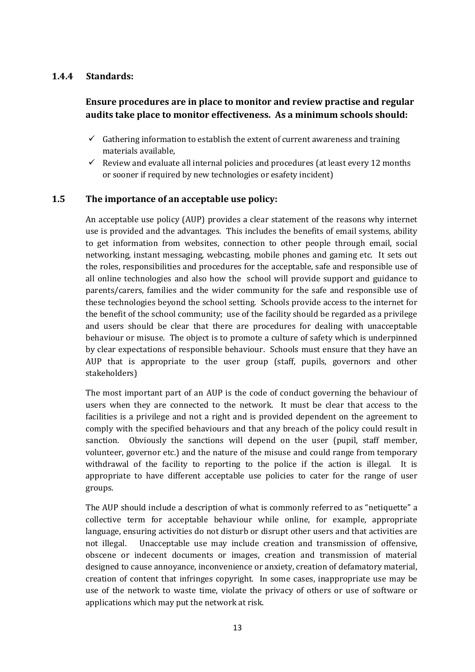### **1.4.4 Standards:**

### **Ensure procedures are in place to monitor and review practise and regular audits take place to monitor effectiveness. As a minimum schools should:**

- $\checkmark$  Gathering information to establish the extent of current awareness and training materials available,
- $\checkmark$  Review and evaluate all internal policies and procedures (at least every 12 months or sooner if required by new technologies or esafety incident)

### **1.5 The importance of an acceptable use policy:**

An acceptable use policy (AUP) provides a clear statement of the reasons why internet use is provided and the advantages. This includes the benefits of email systems, ability to get information from websites, connection to other people through email, social networking, instant messaging, webcasting, mobile phones and gaming etc. It sets out the roles, responsibilities and procedures for the acceptable, safe and responsible use of all online technologies and also how the school will provide support and guidance to parents/carers, families and the wider community for the safe and responsible use of these technologies beyond the school setting. Schools provide access to the internet for the benefit of the school community; use of the facility should be regarded as a privilege and users should be clear that there are procedures for dealing with unacceptable behaviour or misuse. The object is to promote a culture of safety which is underpinned by clear expectations of responsible behaviour. Schools must ensure that they have an AUP that is appropriate to the user group (staff, pupils, governors and other stakeholders)

The most important part of an AUP is the code of conduct governing the behaviour of users when they are connected to the network. It must be clear that access to the facilities is a privilege and not a right and is provided dependent on the agreement to comply with the specified behaviours and that any breach of the policy could result in sanction. Obviously the sanctions will depend on the user (pupil, staff member, volunteer, governor etc.) and the nature of the misuse and could range from temporary withdrawal of the facility to reporting to the police if the action is illegal. It is appropriate to have different acceptable use policies to cater for the range of user groups.

The AUP should include a description of what is commonly referred to as "netiquette" a collective term for acceptable behaviour while online, for example, appropriate language, ensuring activities do not disturb or disrupt other users and that activities are not illegal. Unacceptable use may include creation and transmission of offensive, obscene or indecent documents or images, creation and transmission of material designed to cause annoyance, inconvenience or anxiety, creation of defamatory material, creation of content that infringes copyright. In some cases, inappropriate use may be use of the network to waste time, violate the privacy of others or use of software or applications which may put the network at risk.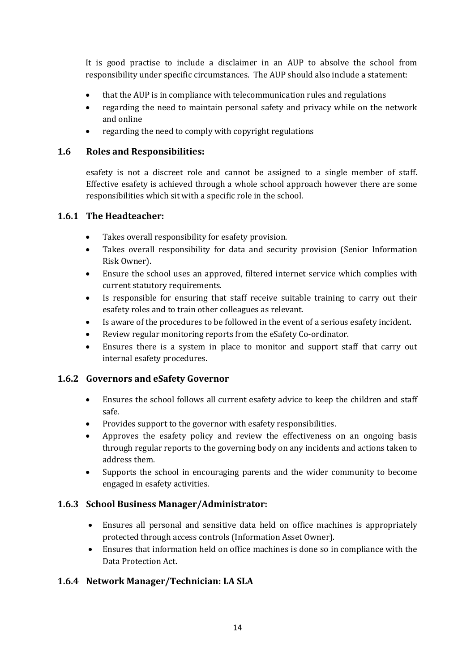It is good practise to include a disclaimer in an AUP to absolve the school from responsibility under specific circumstances. The AUP should also include a statement:

- that the AUP is in compliance with telecommunication rules and regulations
- regarding the need to maintain personal safety and privacy while on the network and online
- regarding the need to comply with copyright regulations

### **1.6 Roles and Responsibilities:**

esafety is not a discreet role and cannot be assigned to a single member of staff. Effective esafety is achieved through a whole school approach however there are some responsibilities which sit with a specific role in the school.

### **1.6.1 The Headteacher:**

- Takes overall responsibility for esafety provision.
- Takes overall responsibility for data and security provision (Senior Information Risk Owner).
- Ensure the school uses an approved, filtered internet service which complies with current statutory requirements.
- Is responsible for ensuring that staff receive suitable training to carry out their esafety roles and to train other colleagues as relevant.
- Is aware of the procedures to be followed in the event of a serious esafety incident.
- Review regular monitoring reports from the eSafety Co-ordinator.
- Ensures there is a system in place to monitor and support staff that carry out internal esafety procedures.

### **1.6.2 Governors and eSafety Governor**

- Ensures the school follows all current esafety advice to keep the children and staff safe.
- Provides support to the governor with esafety responsibilities.
- Approves the esafety policy and review the effectiveness on an ongoing basis through regular reports to the governing body on any incidents and actions taken to address them.
- Supports the school in encouraging parents and the wider community to become engaged in esafety activities.

### **1.6.3 School Business Manager/Administrator:**

- Ensures all personal and sensitive data held on office machines is appropriately protected through access controls (Information Asset Owner).
- Ensures that information held on office machines is done so in compliance with the Data Protection Act.

### **1.6.4 Network Manager/Technician: LA SLA**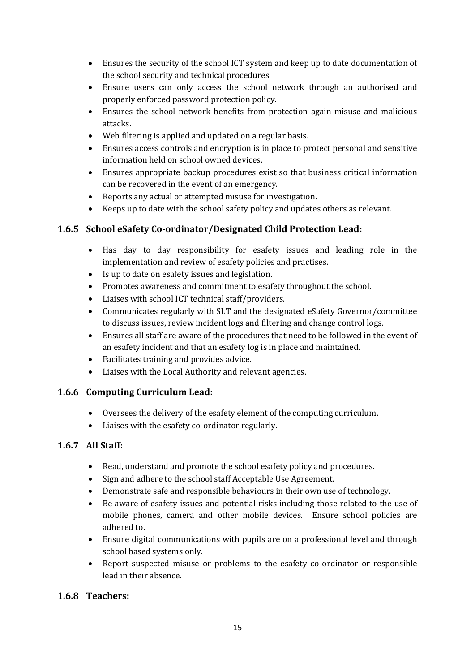- Ensures the security of the school ICT system and keep up to date documentation of the school security and technical procedures.
- Ensure users can only access the school network through an authorised and properly enforced password protection policy.
- Ensures the school network benefits from protection again misuse and malicious attacks.
- Web filtering is applied and updated on a regular basis.
- Ensures access controls and encryption is in place to protect personal and sensitive information held on school owned devices.
- Ensures appropriate backup procedures exist so that business critical information can be recovered in the event of an emergency.
- Reports any actual or attempted misuse for investigation.
- Keeps up to date with the school safety policy and updates others as relevant.

### **1.6.5 School eSafety Co-ordinator/Designated Child Protection Lead:**

- Has day to day responsibility for esafety issues and leading role in the implementation and review of esafety policies and practises.
- Is up to date on esafety issues and legislation.
- Promotes awareness and commitment to esafety throughout the school.
- Liaises with school ICT technical staff/providers.
- Communicates regularly with SLT and the designated eSafety Governor/committee to discuss issues, review incident logs and filtering and change control logs.
- Ensures all staff are aware of the procedures that need to be followed in the event of an esafety incident and that an esafety log is in place and maintained.
- Facilitates training and provides advice.
- Liaises with the Local Authority and relevant agencies.

### **1.6.6 Computing Curriculum Lead:**

- Oversees the delivery of the esafety element of the computing curriculum.
- Liaises with the esafety co-ordinator regularly.

### **1.6.7 All Staff:**

- Read, understand and promote the school esafety policy and procedures.
- Sign and adhere to the school staff Acceptable Use Agreement.
- Demonstrate safe and responsible behaviours in their own use of technology.
- Be aware of esafety issues and potential risks including those related to the use of mobile phones, camera and other mobile devices. Ensure school policies are adhered to.
- Ensure digital communications with pupils are on a professional level and through school based systems only.
- Report suspected misuse or problems to the esafety co-ordinator or responsible lead in their absence.

### **1.6.8 Teachers:**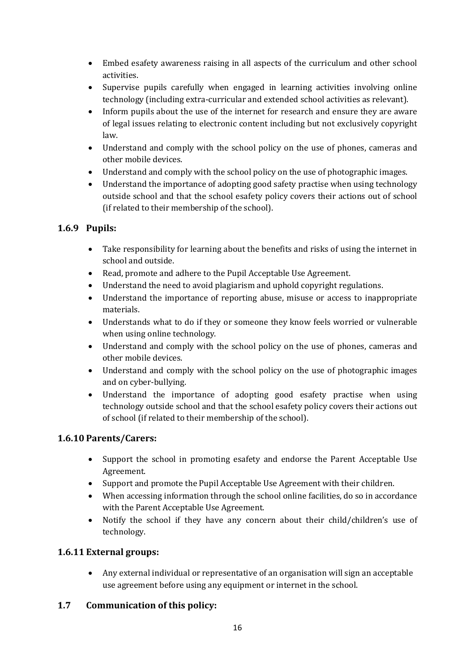- Embed esafety awareness raising in all aspects of the curriculum and other school activities.
- Supervise pupils carefully when engaged in learning activities involving online technology (including extra-curricular and extended school activities as relevant).
- Inform pupils about the use of the internet for research and ensure they are aware of legal issues relating to electronic content including but not exclusively copyright law.
- Understand and comply with the school policy on the use of phones, cameras and other mobile devices.
- Understand and comply with the school policy on the use of photographic images.
- Understand the importance of adopting good safety practise when using technology outside school and that the school esafety policy covers their actions out of school (if related to their membership of the school).

### **1.6.9 Pupils:**

- Take responsibility for learning about the benefits and risks of using the internet in school and outside.
- Read, promote and adhere to the Pupil Acceptable Use Agreement.
- Understand the need to avoid plagiarism and uphold copyright regulations.
- Understand the importance of reporting abuse, misuse or access to inappropriate materials.
- Understands what to do if they or someone they know feels worried or vulnerable when using online technology.
- Understand and comply with the school policy on the use of phones, cameras and other mobile devices.
- Understand and comply with the school policy on the use of photographic images and on cyber-bullying.
- Understand the importance of adopting good esafety practise when using technology outside school and that the school esafety policy covers their actions out of school (if related to their membership of the school).

### **1.6.10 Parents/Carers:**

- Support the school in promoting esafety and endorse the Parent Acceptable Use Agreement.
- Support and promote the Pupil Acceptable Use Agreement with their children.
- When accessing information through the school online facilities, do so in accordance with the Parent Acceptable Use Agreement.
- Notify the school if they have any concern about their child/children's use of technology.

### **1.6.11 External groups:**

 Any external individual or representative of an organisation will sign an acceptable use agreement before using any equipment or internet in the school.

### **1.7 Communication of this policy:**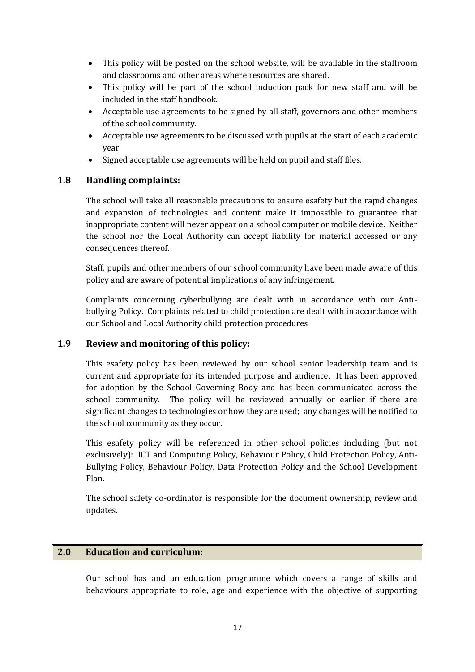- This policy will be posted on the school website, will be available in the staffroom and classrooms and other areas where resources are shared.
- This policy will be part of the school induction pack for new staff and will be included in the staff handbook.
- Acceptable use agreements to be signed by all staff, governors and other members of the school community.
- Acceptable use agreements to be discussed with pupils at the start of each academic year.
- Signed acceptable use agreements will be held on pupil and staff files.

### **1.8 Handling complaints:**

The school will take all reasonable precautions to ensure esafety but the rapid changes and expansion of technologies and content make it impossible to guarantee that inappropriate content will never appear on a school computer or mobile device. Neither the school nor the Local Authority can accept liability for material accessed or any consequences thereof.

Staff, pupils and other members of our school community have been made aware of this policy and are aware of potential implications of any infringement.

Complaints concerning cyberbullying are dealt with in accordance with our Antibullying Policy. Complaints related to child protection are dealt with in accordance with our School and Local Authority child protection procedures

### **1.9 Review and monitoring of this policy:**

This esafety policy has been reviewed by our school senior leadership team and is current and appropriate for its intended purpose and audience. It has been approved for adoption by the School Governing Body and has been communicated across the school community. The policy will be reviewed annually or earlier if there are significant changes to technologies or how they are used; any changes will be notified to the school community as they occur.

This esafety policy will be referenced in other school policies including (but not exclusively): ICT and Computing Policy, Behaviour Policy, Child Protection Policy, Anti-Bullying Policy, Behaviour Policy, Data Protection Policy and the School Development Plan.

The school safety co-ordinator is responsible for the document ownership, review and updates.

#### **2.0 Education and curriculum:**

Our school has and an education programme which covers a range of skills and behaviours appropriate to role, age and experience with the objective of supporting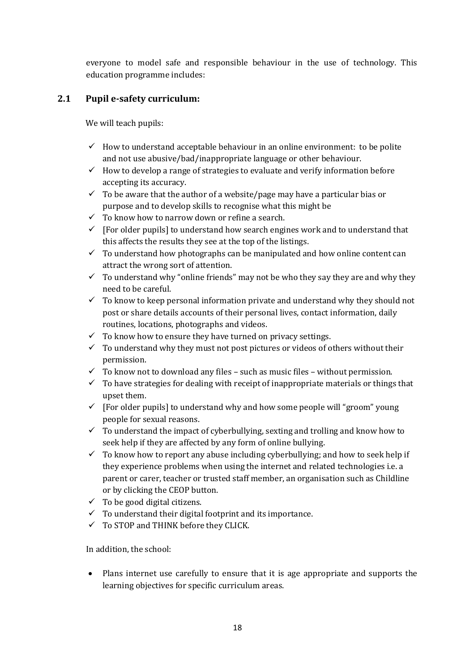everyone to model safe and responsible behaviour in the use of technology. This education programme includes:

### **2.1 Pupil e-safety curriculum:**

We will teach pupils:

- $\checkmark$  How to understand acceptable behaviour in an online environment: to be polite and not use abusive/bad/inappropriate language or other behaviour.
- $\checkmark$  How to develop a range of strategies to evaluate and verify information before accepting its accuracy.
- $\checkmark$  To be aware that the author of a website/page may have a particular bias or purpose and to develop skills to recognise what this might be
- $\checkmark$  To know how to narrow down or refine a search.
- $\checkmark$  [For older pupils] to understand how search engines work and to understand that this affects the results they see at the top of the listings.
- $\checkmark$  To understand how photographs can be manipulated and how online content can attract the wrong sort of attention.
- $\checkmark$  To understand why "online friends" may not be who they say they are and why they need to be careful.
- $\checkmark$  To know to keep personal information private and understand why they should not post or share details accounts of their personal lives, contact information, daily routines, locations, photographs and videos.
- $\checkmark$  To know how to ensure they have turned on privacy settings.
- $\checkmark$  To understand why they must not post pictures or videos of others without their permission.
- $\checkmark$  To know not to download any files such as music files without permission.
- $\checkmark$  To have strategies for dealing with receipt of inappropriate materials or things that upset them.
- $\checkmark$  [For older pupils] to understand why and how some people will "groom" young people for sexual reasons.
- $\checkmark$  To understand the impact of cyberbullying, sexting and trolling and know how to seek help if they are affected by any form of online bullying.
- $\checkmark$  To know how to report any abuse including cyberbullying; and how to seek help if they experience problems when using the internet and related technologies i.e. a parent or carer, teacher or trusted staff member, an organisation such as Childline or by clicking the CEOP button.
- $\checkmark$  To be good digital citizens.
- $\checkmark$  To understand their digital footprint and its importance.
- $\checkmark$  To STOP and THINK before they CLICK.

In addition, the school:

 Plans internet use carefully to ensure that it is age appropriate and supports the learning objectives for specific curriculum areas.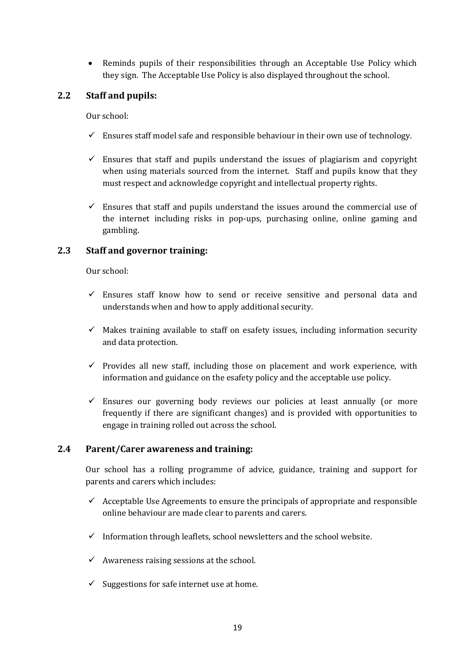• Reminds pupils of their responsibilities through an Acceptable Use Policy which they sign. The Acceptable Use Policy is also displayed throughout the school.

#### **2.2 Staff and pupils:**

Our school:

- $\checkmark$  Ensures staff model safe and responsible behaviour in their own use of technology.
- $\checkmark$  Ensures that staff and pupils understand the issues of plagiarism and copyright when using materials sourced from the internet. Staff and pupils know that they must respect and acknowledge copyright and intellectual property rights.
- $\checkmark$  Ensures that staff and pupils understand the issues around the commercial use of the internet including risks in pop-ups, purchasing online, online gaming and gambling.

#### **2.3 Staff and governor training:**

Our school:

- $\checkmark$  Ensures staff know how to send or receive sensitive and personal data and understands when and how to apply additional security.
- $\checkmark$  Makes training available to staff on esafety issues, including information security and data protection.
- $\checkmark$  Provides all new staff, including those on placement and work experience, with information and guidance on the esafety policy and the acceptable use policy.
- $\checkmark$  Ensures our governing body reviews our policies at least annually (or more frequently if there are significant changes) and is provided with opportunities to engage in training rolled out across the school.

#### **2.4 Parent/Carer awareness and training:**

Our school has a rolling programme of advice, guidance, training and support for parents and carers which includes:

- $\checkmark$  Acceptable Use Agreements to ensure the principals of appropriate and responsible online behaviour are made clear to parents and carers.
- $\checkmark$  Information through leaflets, school newsletters and the school website.
- $\checkmark$  Awareness raising sessions at the school.
- $\checkmark$  Suggestions for safe internet use at home.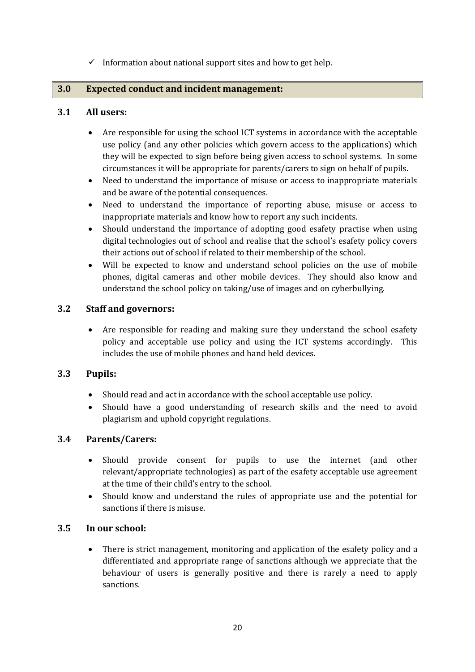$\checkmark$  Information about national support sites and how to get help.

#### **3.0 Expected conduct and incident management:**

#### **3.1 All users:**

- Are responsible for using the school ICT systems in accordance with the acceptable use policy (and any other policies which govern access to the applications) which they will be expected to sign before being given access to school systems. In some circumstances it will be appropriate for parents/carers to sign on behalf of pupils.
- Need to understand the importance of misuse or access to inappropriate materials and be aware of the potential consequences.
- Need to understand the importance of reporting abuse, misuse or access to inappropriate materials and know how to report any such incidents.
- Should understand the importance of adopting good esafety practise when using digital technologies out of school and realise that the school's esafety policy covers their actions out of school if related to their membership of the school.
- Will be expected to know and understand school policies on the use of mobile phones, digital cameras and other mobile devices. They should also know and understand the school policy on taking/use of images and on cyberbullying.

### **3.2 Staff and governors:**

 Are responsible for reading and making sure they understand the school esafety policy and acceptable use policy and using the ICT systems accordingly. This includes the use of mobile phones and hand held devices.

#### **3.3 Pupils:**

- Should read and act in accordance with the school acceptable use policy.
- Should have a good understanding of research skills and the need to avoid plagiarism and uphold copyright regulations.

#### **3.4 Parents/Carers:**

- Should provide consent for pupils to use the internet (and other relevant/appropriate technologies) as part of the esafety acceptable use agreement at the time of their child's entry to the school.
- Should know and understand the rules of appropriate use and the potential for sanctions if there is misuse.

#### **3.5 In our school:**

 There is strict management, monitoring and application of the esafety policy and a differentiated and appropriate range of sanctions although we appreciate that the behaviour of users is generally positive and there is rarely a need to apply sanctions.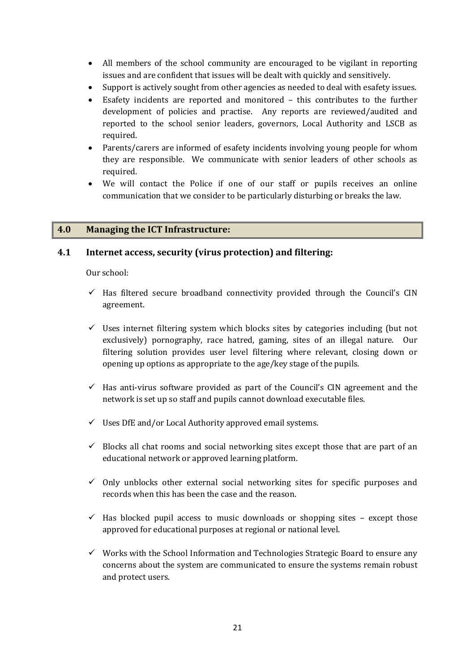- All members of the school community are encouraged to be vigilant in reporting issues and are confident that issues will be dealt with quickly and sensitively.
- Support is actively sought from other agencies as needed to deal with esafety issues.
- Esafety incidents are reported and monitored this contributes to the further development of policies and practise. Any reports are reviewed/audited and reported to the school senior leaders, governors, Local Authority and LSCB as required.
- Parents/carers are informed of esafety incidents involving young people for whom they are responsible. We communicate with senior leaders of other schools as required.
- We will contact the Police if one of our staff or pupils receives an online communication that we consider to be particularly disturbing or breaks the law.

#### **4.0 Managing the ICT Infrastructure:**

#### **4.1 Internet access, security (virus protection) and filtering:**

Our school:

- $\checkmark$  Has filtered secure broadband connectivity provided through the Council's CIN agreement.
- $\checkmark$  Uses internet filtering system which blocks sites by categories including (but not exclusively) pornography, race hatred, gaming, sites of an illegal nature. Our filtering solution provides user level filtering where relevant, closing down or opening up options as appropriate to the age/key stage of the pupils.
- $\checkmark$  Has anti-virus software provided as part of the Council's CIN agreement and the network is set up so staff and pupils cannot download executable files.
- $\checkmark$  Uses DfE and/or Local Authority approved email systems.
- $\checkmark$  Blocks all chat rooms and social networking sites except those that are part of an educational network or approved learning platform.
- $\checkmark$  Only unblocks other external social networking sites for specific purposes and records when this has been the case and the reason.
- $\checkmark$  Has blocked pupil access to music downloads or shopping sites except those approved for educational purposes at regional or national level.
- $\checkmark$  Works with the School Information and Technologies Strategic Board to ensure any concerns about the system are communicated to ensure the systems remain robust and protect users.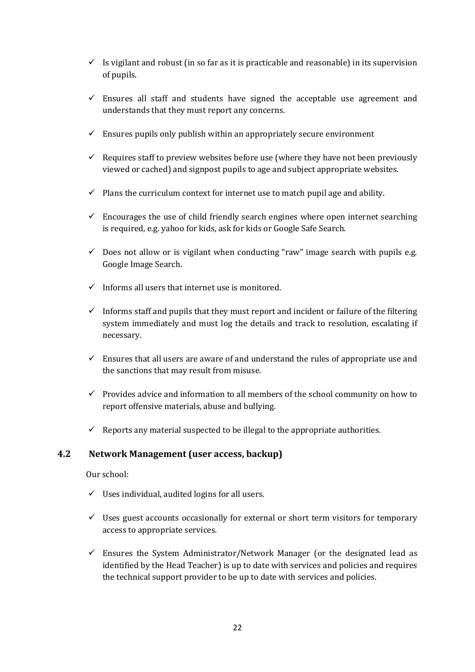- $\checkmark$  Is vigilant and robust (in so far as it is practicable and reasonable) in its supervision of pupils.
- $\checkmark$  Ensures all staff and students have signed the acceptable use agreement and understands that they must report any concerns.
- $\checkmark$  Ensures pupils only publish within an appropriately secure environment
- $\checkmark$  Requires staff to preview websites before use (where they have not been previously viewed or cached) and signpost pupils to age and subject appropriate websites.
- $\checkmark$  Plans the curriculum context for internet use to match pupil age and ability.
- $\checkmark$  Encourages the use of child friendly search engines where open internet searching is required, e.g. yahoo for kids, ask for kids or Google Safe Search.
- $\checkmark$  Does not allow or is vigilant when conducting "raw" image search with pupils e.g. Google Image Search.
- $\checkmark$  Informs all users that internet use is monitored.
- $\checkmark$  Informs staff and pupils that they must report and incident or failure of the filtering system immediately and must log the details and track to resolution, escalating if necessary.
- $\checkmark$  Ensures that all users are aware of and understand the rules of appropriate use and the sanctions that may result from misuse.
- $\checkmark$  Provides advice and information to all members of the school community on how to report offensive materials, abuse and bullying.
- $\checkmark$  Reports any material suspected to be illegal to the appropriate authorities.

#### **4.2 Network Management (user access, backup)**

Our school:

- $\checkmark$  Uses individual, audited logins for all users.
- $\checkmark$  Uses guest accounts occasionally for external or short term visitors for temporary access to appropriate services.
- $\checkmark$  Ensures the System Administrator/Network Manager (or the designated lead as identified by the Head Teacher) is up to date with services and policies and requires the technical support provider to be up to date with services and policies.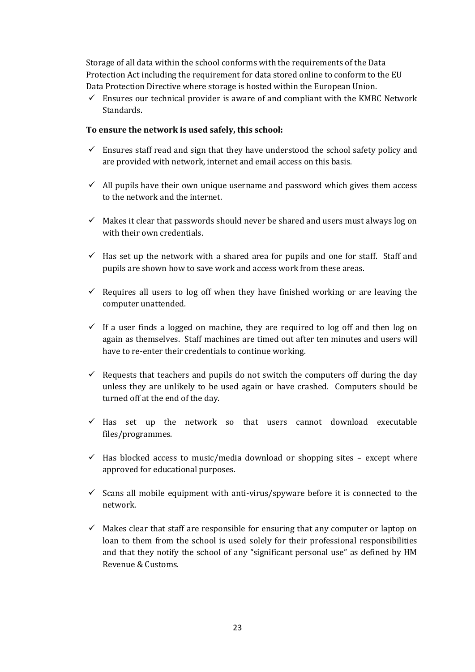Storage of all data within the school conforms with the requirements of the Data Protection Act including the requirement for data stored online to conform to the EU Data Protection Directive where storage is hosted within the European Union.

 $\checkmark$  Ensures our technical provider is aware of and compliant with the KMBC Network Standards.

#### **To ensure the network is used safely, this school:**

- $\checkmark$  Ensures staff read and sign that they have understood the school safety policy and are provided with network, internet and email access on this basis.
- $\checkmark$  All pupils have their own unique username and password which gives them access to the network and the internet.
- $\checkmark$  Makes it clear that passwords should never be shared and users must always log on with their own credentials.
- $\checkmark$  Has set up the network with a shared area for pupils and one for staff. Staff and pupils are shown how to save work and access work from these areas.
- $\checkmark$  Requires all users to log off when they have finished working or are leaving the computer unattended.
- $\checkmark$  If a user finds a logged on machine, they are required to log off and then log on again as themselves. Staff machines are timed out after ten minutes and users will have to re-enter their credentials to continue working.
- $\checkmark$  Requests that teachers and pupils do not switch the computers off during the day unless they are unlikely to be used again or have crashed. Computers should be turned off at the end of the day.
- $\checkmark$  Has set up the network so that users cannot download executable files/programmes.
- $\checkmark$  Has blocked access to music/media download or shopping sites except where approved for educational purposes.
- $\checkmark$  Scans all mobile equipment with anti-virus/spyware before it is connected to the network.
- $\checkmark$  Makes clear that staff are responsible for ensuring that any computer or laptop on loan to them from the school is used solely for their professional responsibilities and that they notify the school of any "significant personal use" as defined by HM Revenue & Customs.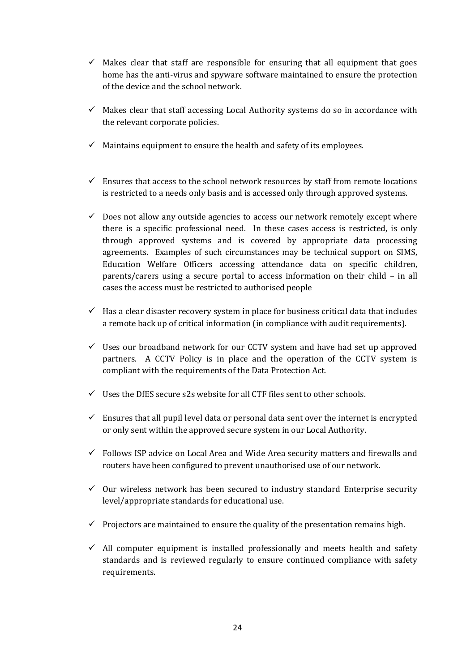- $\checkmark$  Makes clear that staff are responsible for ensuring that all equipment that goes home has the anti-virus and spyware software maintained to ensure the protection of the device and the school network.
- $\checkmark$  Makes clear that staff accessing Local Authority systems do so in accordance with the relevant corporate policies.
- $\checkmark$  Maintains equipment to ensure the health and safety of its employees.
- $\checkmark$  Ensures that access to the school network resources by staff from remote locations is restricted to a needs only basis and is accessed only through approved systems.
- $\checkmark$  Does not allow any outside agencies to access our network remotely except where there is a specific professional need. In these cases access is restricted, is only through approved systems and is covered by appropriate data processing agreements. Examples of such circumstances may be technical support on SIMS, Education Welfare Officers accessing attendance data on specific children, parents/carers using a secure portal to access information on their child – in all cases the access must be restricted to authorised people
- $\checkmark$  Has a clear disaster recovery system in place for business critical data that includes a remote back up of critical information (in compliance with audit requirements).
- $\checkmark$  Uses our broadband network for our CCTV system and have had set up approved partners. A CCTV Policy is in place and the operation of the CCTV system is compliant with the requirements of the Data Protection Act.
- $\checkmark$  Uses the DfES secure s2s website for all CTF files sent to other schools.
- $\checkmark$  Ensures that all pupil level data or personal data sent over the internet is encrypted or only sent within the approved secure system in our Local Authority.
- $\checkmark$  Follows ISP advice on Local Area and Wide Area security matters and firewalls and routers have been configured to prevent unauthorised use of our network.
- $\checkmark$  Our wireless network has been secured to industry standard Enterprise security level/appropriate standards for educational use.
- $\checkmark$  Projectors are maintained to ensure the quality of the presentation remains high.
- $\checkmark$  All computer equipment is installed professionally and meets health and safety standards and is reviewed regularly to ensure continued compliance with safety requirements.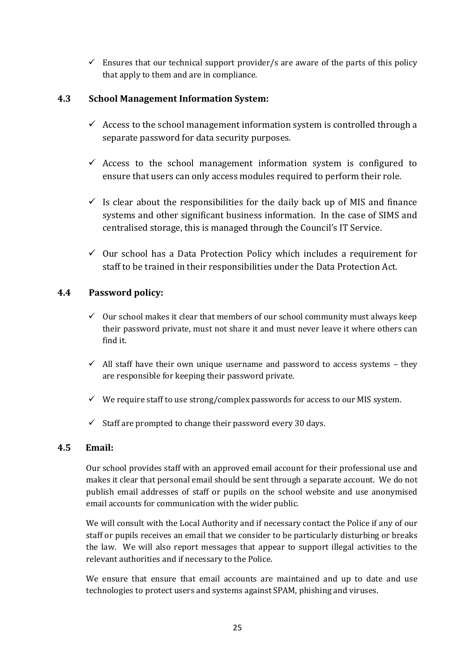$\checkmark$  Ensures that our technical support provider/s are aware of the parts of this policy that apply to them and are in compliance.

### **4.3 School Management Information System:**

- $\checkmark$  Access to the school management information system is controlled through a separate password for data security purposes.
- $\checkmark$  Access to the school management information system is configured to ensure that users can only access modules required to perform their role.
- $\checkmark$  Is clear about the responsibilities for the daily back up of MIS and finance systems and other significant business information. In the case of SIMS and centralised storage, this is managed through the Council's IT Service.
- $\checkmark$  Our school has a Data Protection Policy which includes a requirement for staff to be trained in their responsibilities under the Data Protection Act.

### **4.4 Password policy:**

- $\checkmark$  Our school makes it clear that members of our school community must always keep their password private, must not share it and must never leave it where others can find it.
- $\checkmark$  All staff have their own unique username and password to access systems they are responsible for keeping their password private.
- $\checkmark$  We require staff to use strong/complex passwords for access to our MIS system.
- $\checkmark$  Staff are prompted to change their password every 30 days.

### **4.5 Email:**

Our school provides staff with an approved email account for their professional use and makes it clear that personal email should be sent through a separate account. We do not publish email addresses of staff or pupils on the school website and use anonymised email accounts for communication with the wider public.

We will consult with the Local Authority and if necessary contact the Police if any of our staff or pupils receives an email that we consider to be particularly disturbing or breaks the law. We will also report messages that appear to support illegal activities to the relevant authorities and if necessary to the Police.

We ensure that ensure that email accounts are maintained and up to date and use technologies to protect users and systems against SPAM, phishing and viruses.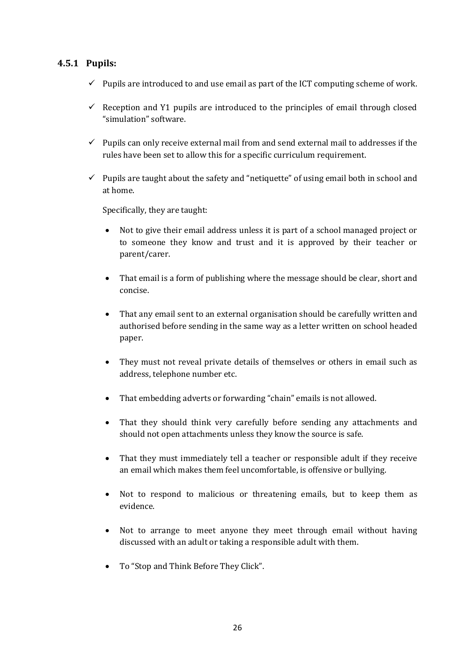### **4.5.1 Pupils:**

- $\checkmark$  Pupils are introduced to and use email as part of the ICT computing scheme of work.
- $\checkmark$  Reception and Y1 pupils are introduced to the principles of email through closed "simulation" software.
- $\checkmark$  Pupils can only receive external mail from and send external mail to addresses if the rules have been set to allow this for a specific curriculum requirement.
- $\checkmark$  Pupils are taught about the safety and "netiquette" of using email both in school and at home.

Specifically, they are taught:

- Not to give their email address unless it is part of a school managed project or to someone they know and trust and it is approved by their teacher or parent/carer.
- That email is a form of publishing where the message should be clear, short and concise.
- That any email sent to an external organisation should be carefully written and authorised before sending in the same way as a letter written on school headed paper.
- They must not reveal private details of themselves or others in email such as address, telephone number etc.
- That embedding adverts or forwarding "chain" emails is not allowed.
- That they should think very carefully before sending any attachments and should not open attachments unless they know the source is safe.
- That they must immediately tell a teacher or responsible adult if they receive an email which makes them feel uncomfortable, is offensive or bullying.
- Not to respond to malicious or threatening emails, but to keep them as evidence.
- Not to arrange to meet anyone they meet through email without having discussed with an adult or taking a responsible adult with them.
- To "Stop and Think Before They Click".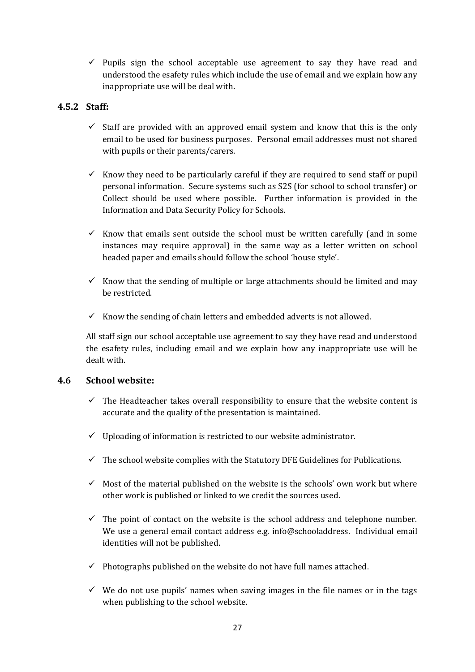$\checkmark$  Pupils sign the school acceptable use agreement to say they have read and understood the esafety rules which include the use of email and we explain how any inappropriate use will be deal with**.**

### **4.5.2 Staff:**

- $\checkmark$  Staff are provided with an approved email system and know that this is the only email to be used for business purposes. Personal email addresses must not shared with pupils or their parents/carers.
- Know they need to be particularly careful if they are required to send staff or pupil personal information. Secure systems such as S2S (for school to school transfer) or Collect should be used where possible. Further information is provided in the Information and Data Security Policy for Schools.
- Know that emails sent outside the school must be written carefully (and in some instances may require approval) in the same way as a letter written on school headed paper and emails should follow the school 'house style'.
- Know that the sending of multiple or large attachments should be limited and may be restricted.
- $\checkmark$  Know the sending of chain letters and embedded adverts is not allowed.

All staff sign our school acceptable use agreement to say they have read and understood the esafety rules, including email and we explain how any inappropriate use will be dealt with.

### **4.6 School website:**

- $\checkmark$  The Headteacher takes overall responsibility to ensure that the website content is accurate and the quality of the presentation is maintained.
- $\checkmark$  Uploading of information is restricted to our website administrator.
- $\checkmark$  The school website complies with the Statutory DFE Guidelines for Publications.
- $\checkmark$  Most of the material published on the website is the schools' own work but where other work is published or linked to we credit the sources used.
- $\checkmark$  The point of contact on the website is the school address and telephone number. We use a general email contact address e.g. info@schooladdress. Individual email identities will not be published.
- $\checkmark$  Photographs published on the website do not have full names attached.
- $\checkmark$  We do not use pupils' names when saving images in the file names or in the tags when publishing to the school website.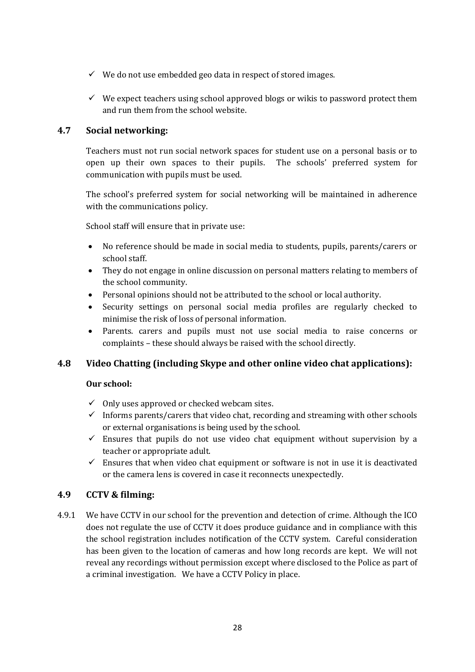- $\checkmark$  We do not use embedded geo data in respect of stored images.
- $\checkmark$  We expect teachers using school approved blogs or wikis to password protect them and run them from the school website.

#### **4.7 Social networking:**

Teachers must not run social network spaces for student use on a personal basis or to open up their own spaces to their pupils. The schools' preferred system for communication with pupils must be used.

The school's preferred system for social networking will be maintained in adherence with the communications policy.

School staff will ensure that in private use:

- No reference should be made in social media to students, pupils, parents/carers or school staff.
- They do not engage in online discussion on personal matters relating to members of the school community.
- Personal opinions should not be attributed to the school or local authority.
- Security settings on personal social media profiles are regularly checked to minimise the risk of loss of personal information.
- Parents. carers and pupils must not use social media to raise concerns or complaints – these should always be raised with the school directly.

### **4.8 Video Chatting (including Skype and other online video chat applications):**

#### **Our school:**

- $\checkmark$  Only uses approved or checked webcam sites.
- $\checkmark$  Informs parents/carers that video chat, recording and streaming with other schools or external organisations is being used by the school.
- $\checkmark$  Ensures that pupils do not use video chat equipment without supervision by a teacher or appropriate adult.
- $\checkmark$  Ensures that when video chat equipment or software is not in use it is deactivated or the camera lens is covered in case it reconnects unexpectedly.

### **4.9 CCTV & filming:**

4.9.1 We have CCTV in our school for the prevention and detection of crime. Although the ICO does not regulate the use of CCTV it does produce guidance and in compliance with this the school registration includes notification of the CCTV system. Careful consideration has been given to the location of cameras and how long records are kept. We will not reveal any recordings without permission except where disclosed to the Police as part of a criminal investigation. We have a CCTV Policy in place.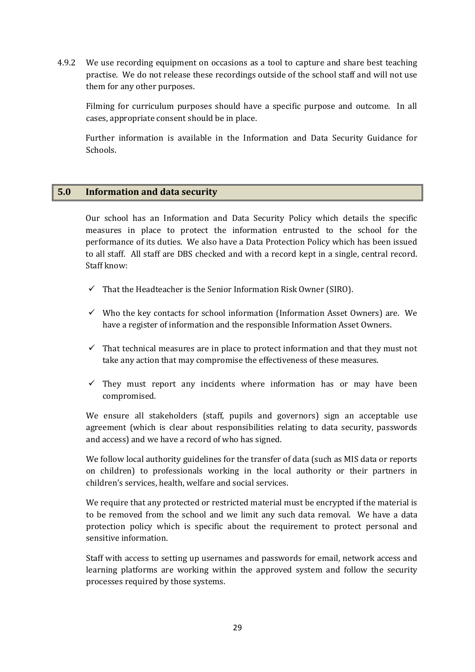4.9.2 We use recording equipment on occasions as a tool to capture and share best teaching practise. We do not release these recordings outside of the school staff and will not use them for any other purposes.

Filming for curriculum purposes should have a specific purpose and outcome. In all cases, appropriate consent should be in place.

Further information is available in the Information and Data Security Guidance for Schools.

#### **5.0 Information and data security**

Our school has an Information and Data Security Policy which details the specific measures in place to protect the information entrusted to the school for the performance of its duties. We also have a Data Protection Policy which has been issued to all staff. All staff are DBS checked and with a record kept in a single, central record. Staff know:

- $\checkmark$  That the Headteacher is the Senior Information Risk Owner (SIRO).
- $\checkmark$  Who the key contacts for school information (Information Asset Owners) are. We have a register of information and the responsible Information Asset Owners.
- $\checkmark$  That technical measures are in place to protect information and that they must not take any action that may compromise the effectiveness of these measures.
- $\checkmark$  They must report any incidents where information has or may have been compromised.

We ensure all stakeholders (staff, pupils and governors) sign an acceptable use agreement (which is clear about responsibilities relating to data security, passwords and access) and we have a record of who has signed.

We follow local authority guidelines for the transfer of data (such as MIS data or reports on children) to professionals working in the local authority or their partners in children's services, health, welfare and social services.

We require that any protected or restricted material must be encrypted if the material is to be removed from the school and we limit any such data removal. We have a data protection policy which is specific about the requirement to protect personal and sensitive information.

Staff with access to setting up usernames and passwords for email, network access and learning platforms are working within the approved system and follow the security processes required by those systems.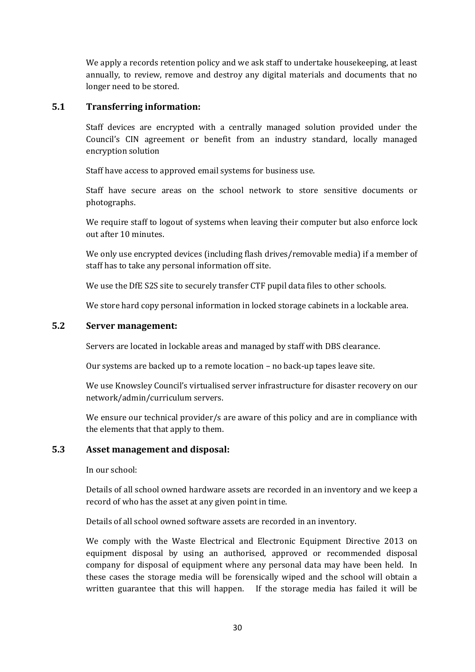We apply a records retention policy and we ask staff to undertake housekeeping, at least annually, to review, remove and destroy any digital materials and documents that no longer need to be stored.

#### **5.1 Transferring information:**

Staff devices are encrypted with a centrally managed solution provided under the Council's CIN agreement or benefit from an industry standard, locally managed encryption solution

Staff have access to approved email systems for business use.

Staff have secure areas on the school network to store sensitive documents or photographs.

We require staff to logout of systems when leaving their computer but also enforce lock out after 10 minutes.

We only use encrypted devices (including flash drives/removable media) if a member of staff has to take any personal information off site.

We use the DfE S2S site to securely transfer CTF pupil data files to other schools.

We store hard copy personal information in locked storage cabinets in a lockable area.

#### **5.2 Server management:**

Servers are located in lockable areas and managed by staff with DBS clearance.

Our systems are backed up to a remote location – no back-up tapes leave site.

We use Knowsley Council's virtualised server infrastructure for disaster recovery on our network/admin/curriculum servers.

We ensure our technical provider/s are aware of this policy and are in compliance with the elements that that apply to them.

#### **5.3 Asset management and disposal:**

In our school:

Details of all school owned hardware assets are recorded in an inventory and we keep a record of who has the asset at any given point in time.

Details of all school owned software assets are recorded in an inventory.

We comply with the Waste Electrical and Electronic Equipment Directive 2013 on equipment disposal by using an authorised, approved or recommended disposal company for disposal of equipment where any personal data may have been held. In these cases the storage media will be forensically wiped and the school will obtain a written guarantee that this will happen. If the storage media has failed it will be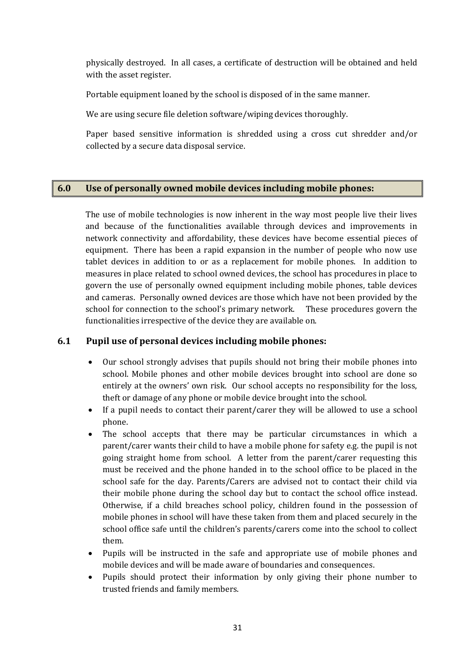physically destroyed. In all cases, a certificate of destruction will be obtained and held with the asset register.

Portable equipment loaned by the school is disposed of in the same manner.

We are using secure file deletion software/wiping devices thoroughly.

Paper based sensitive information is shredded using a cross cut shredder and/or collected by a secure data disposal service.

### **6.0 Use of personally owned mobile devices including mobile phones:**

The use of mobile technologies is now inherent in the way most people live their lives and because of the functionalities available through devices and improvements in network connectivity and affordability, these devices have become essential pieces of equipment. There has been a rapid expansion in the number of people who now use tablet devices in addition to or as a replacement for mobile phones. In addition to measures in place related to school owned devices, the school has procedures in place to govern the use of personally owned equipment including mobile phones, table devices and cameras. Personally owned devices are those which have not been provided by the school for connection to the school's primary network. These procedures govern the functionalities irrespective of the device they are available on.

### **6.1 Pupil use of personal devices including mobile phones:**

- Our school strongly advises that pupils should not bring their mobile phones into school. Mobile phones and other mobile devices brought into school are done so entirely at the owners' own risk. Our school accepts no responsibility for the loss, theft or damage of any phone or mobile device brought into the school.
- If a pupil needs to contact their parent/carer they will be allowed to use a school phone.
- The school accepts that there may be particular circumstances in which a parent/carer wants their child to have a mobile phone for safety e.g. the pupil is not going straight home from school. A letter from the parent/carer requesting this must be received and the phone handed in to the school office to be placed in the school safe for the day. Parents/Carers are advised not to contact their child via their mobile phone during the school day but to contact the school office instead. Otherwise, if a child breaches school policy, children found in the possession of mobile phones in school will have these taken from them and placed securely in the school office safe until the children's parents/carers come into the school to collect them.
- Pupils will be instructed in the safe and appropriate use of mobile phones and mobile devices and will be made aware of boundaries and consequences.
- Pupils should protect their information by only giving their phone number to trusted friends and family members.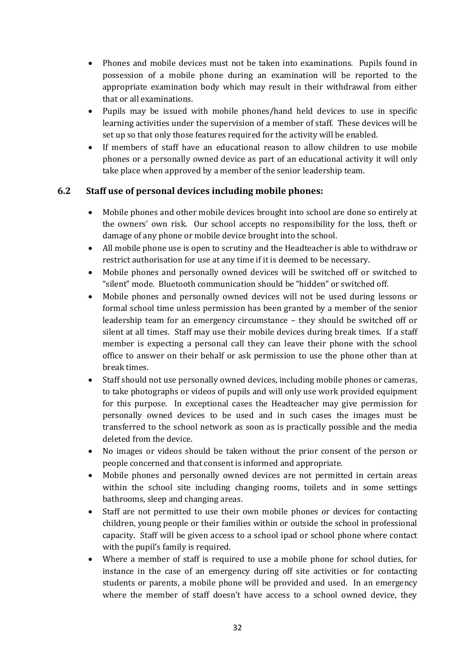- Phones and mobile devices must not be taken into examinations. Pupils found in possession of a mobile phone during an examination will be reported to the appropriate examination body which may result in their withdrawal from either that or all examinations.
- Pupils may be issued with mobile phones/hand held devices to use in specific learning activities under the supervision of a member of staff. These devices will be set up so that only those features required for the activity will be enabled.
- If members of staff have an educational reason to allow children to use mobile phones or a personally owned device as part of an educational activity it will only take place when approved by a member of the senior leadership team.

### **6.2 Staff use of personal devices including mobile phones:**

- Mobile phones and other mobile devices brought into school are done so entirely at the owners' own risk. Our school accepts no responsibility for the loss, theft or damage of any phone or mobile device brought into the school.
- All mobile phone use is open to scrutiny and the Headteacher is able to withdraw or restrict authorisation for use at any time if it is deemed to be necessary.
- Mobile phones and personally owned devices will be switched off or switched to "silent" mode. Bluetooth communication should be "hidden" or switched off.
- Mobile phones and personally owned devices will not be used during lessons or formal school time unless permission has been granted by a member of the senior leadership team for an emergency circumstance – they should be switched off or silent at all times. Staff may use their mobile devices during break times. If a staff member is expecting a personal call they can leave their phone with the school office to answer on their behalf or ask permission to use the phone other than at break times.
- Staff should not use personally owned devices, including mobile phones or cameras, to take photographs or videos of pupils and will only use work provided equipment for this purpose. In exceptional cases the Headteacher may give permission for personally owned devices to be used and in such cases the images must be transferred to the school network as soon as is practically possible and the media deleted from the device.
- No images or videos should be taken without the prior consent of the person or people concerned and that consent is informed and appropriate.
- Mobile phones and personally owned devices are not permitted in certain areas within the school site including changing rooms, toilets and in some settings bathrooms, sleep and changing areas.
- Staff are not permitted to use their own mobile phones or devices for contacting children, young people or their families within or outside the school in professional capacity. Staff will be given access to a school ipad or school phone where contact with the pupil's family is required.
- Where a member of staff is required to use a mobile phone for school duties, for instance in the case of an emergency during off site activities or for contacting students or parents, a mobile phone will be provided and used. In an emergency where the member of staff doesn't have access to a school owned device, they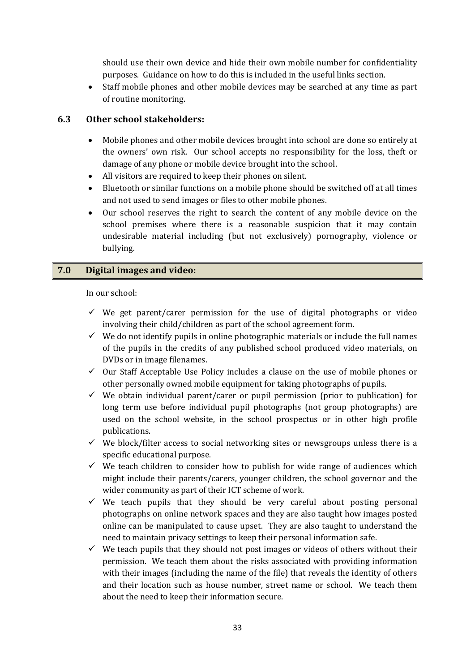should use their own device and hide their own mobile number for confidentiality purposes. Guidance on how to do this is included in the useful links section.

 Staff mobile phones and other mobile devices may be searched at any time as part of routine monitoring.

### **6.3 Other school stakeholders:**

- Mobile phones and other mobile devices brought into school are done so entirely at the owners' own risk. Our school accepts no responsibility for the loss, theft or damage of any phone or mobile device brought into the school.
- All visitors are required to keep their phones on silent.
- Bluetooth or similar functions on a mobile phone should be switched off at all times and not used to send images or files to other mobile phones.
- Our school reserves the right to search the content of any mobile device on the school premises where there is a reasonable suspicion that it may contain undesirable material including (but not exclusively) pornography, violence or bullying.

### **7.0 Digital images and video:**

In our school:

- $\checkmark$  We get parent/carer permission for the use of digital photographs or video involving their child/children as part of the school agreement form.
- $\checkmark$  We do not identify pupils in online photographic materials or include the full names of the pupils in the credits of any published school produced video materials, on DVDs or in image filenames.
- $\checkmark$  Our Staff Acceptable Use Policy includes a clause on the use of mobile phones or other personally owned mobile equipment for taking photographs of pupils.
- $\checkmark$  We obtain individual parent/carer or pupil permission (prior to publication) for long term use before individual pupil photographs (not group photographs) are used on the school website, in the school prospectus or in other high profile publications.
- $\checkmark$  We block/filter access to social networking sites or newsgroups unless there is a specific educational purpose.
- $\checkmark$  We teach children to consider how to publish for wide range of audiences which might include their parents/carers, younger children, the school governor and the wider community as part of their ICT scheme of work.
- $\checkmark$  We teach pupils that they should be very careful about posting personal photographs on online network spaces and they are also taught how images posted online can be manipulated to cause upset. They are also taught to understand the need to maintain privacy settings to keep their personal information safe.
- $\checkmark$  We teach pupils that they should not post images or videos of others without their permission. We teach them about the risks associated with providing information with their images (including the name of the file) that reveals the identity of others and their location such as house number, street name or school. We teach them about the need to keep their information secure.